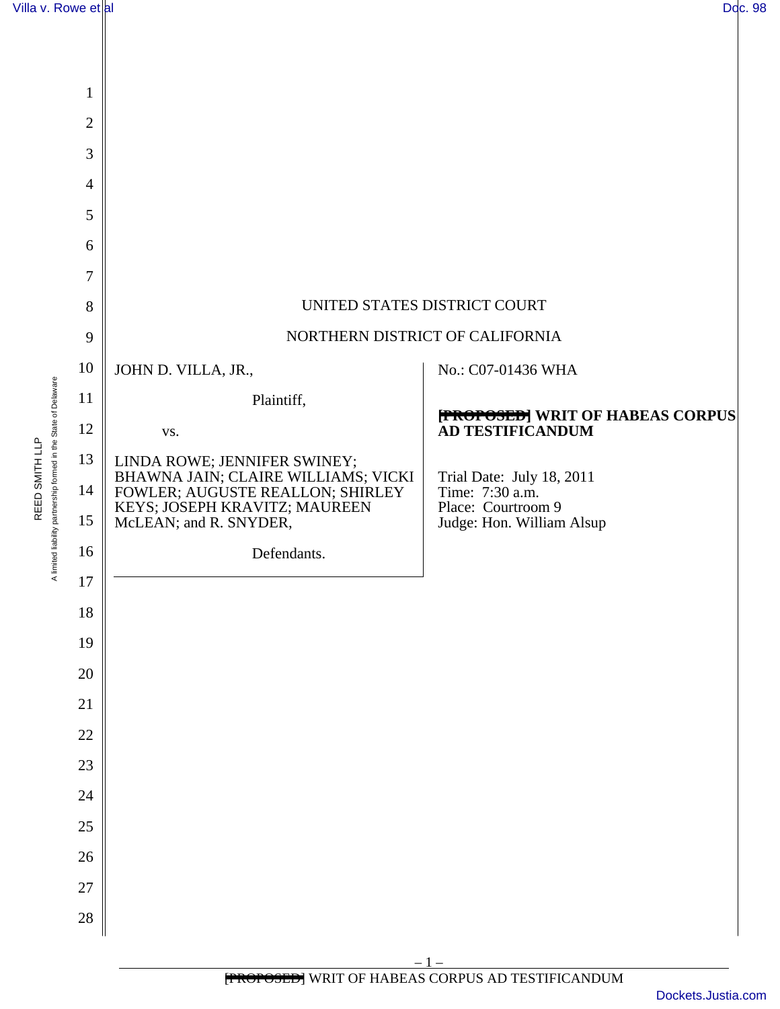

REED SMITH LLP A limited liability partnership formed in the State of Delaware

A limited liability partnership formed in the State of Delaware REED SMITH LLP

| $\mathbf{1}$   |                                                                                                                                    |                                                                    |
|----------------|------------------------------------------------------------------------------------------------------------------------------------|--------------------------------------------------------------------|
| $\overline{2}$ |                                                                                                                                    |                                                                    |
| 3              |                                                                                                                                    |                                                                    |
| $\overline{4}$ |                                                                                                                                    |                                                                    |
| 5              |                                                                                                                                    |                                                                    |
| 6              |                                                                                                                                    |                                                                    |
| 7              |                                                                                                                                    |                                                                    |
| 8              | UNITED STATES DISTRICT COURT                                                                                                       |                                                                    |
| 9              | NORTHERN DISTRICT OF CALIFORNIA                                                                                                    |                                                                    |
| 10             | JOHN D. VILLA, JR.,                                                                                                                | No.: C07-01436 WHA                                                 |
| 11             | Plaintiff,                                                                                                                         | <b>[FROPOSED]</b> WRIT OF HABEAS CORPUS                            |
| 12             | VS.                                                                                                                                | AD TESTIFICANDUM                                                   |
| 13             | LINDA ROWE; JENNIFER SWINEY;                                                                                                       | Trial Date: July 18, 2011                                          |
| 14<br>15       | BHAWNA JAIN; CLAIRE WILLIAMS; VICKI<br>FOWLER; AUGUSTE REALLON; SHIRLEY<br>KEYS; JOSEPH KRAVITZ; MAUREEN<br>McLEAN; and R. SNYDER, | Time: 7:30 a.m.<br>Place: Courtroom 9<br>Judge: Hon. William Alsup |
| 16             | Defendants.                                                                                                                        |                                                                    |
| 17             |                                                                                                                                    |                                                                    |
| $18\,$         |                                                                                                                                    |                                                                    |
| 19             |                                                                                                                                    |                                                                    |
| $20\,$         |                                                                                                                                    |                                                                    |
| $21\,$         |                                                                                                                                    |                                                                    |
| 22             |                                                                                                                                    |                                                                    |
| 23             |                                                                                                                                    |                                                                    |
| $24\,$         |                                                                                                                                    |                                                                    |
| 25             |                                                                                                                                    |                                                                    |
| $26\,$         |                                                                                                                                    |                                                                    |
| $27\,$         |                                                                                                                                    |                                                                    |
| $28\,$         |                                                                                                                                    |                                                                    |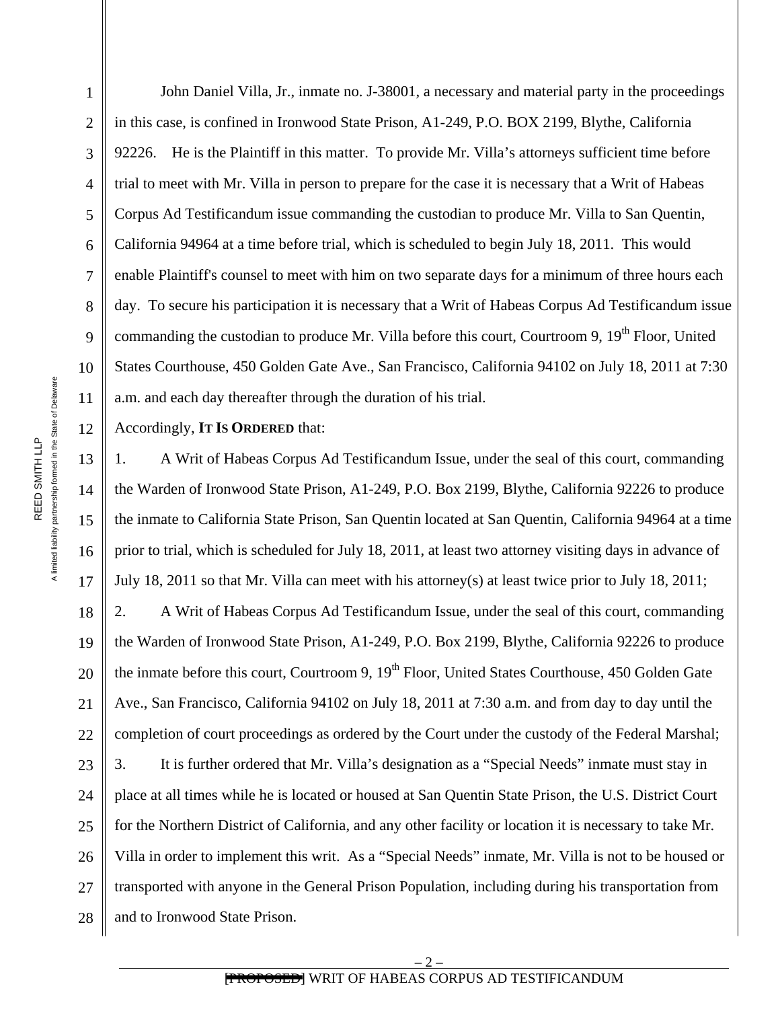John Daniel Villa, Jr., inmate no. J-38001, a necessary and material party in the proceedings in this case, is confined in Ironwood State Prison, A1-249, P.O. BOX 2199, Blythe, California 92226. He is the Plaintiff in this matter. To provide Mr. Villa's attorneys sufficient time before trial to meet with Mr. Villa in person to prepare for the case it is necessary that a Writ of Habeas Corpus Ad Testificandum issue commanding the custodian to produce Mr. Villa to San Quentin, California 94964 at a time before trial, which is scheduled to begin July 18, 2011. This would enable Plaintiff's counsel to meet with him on two separate days for a minimum of three hours each day. To secure his participation it is necessary that a Writ of Habeas Corpus Ad Testificandum issue commanding the custodian to produce Mr. Villa before this court, Courtroom 9, 19<sup>th</sup> Floor, United States Courthouse, 450 Golden Gate Ave., San Francisco, California 94102 on July 18, 2011 at 7:30 a.m. and each day thereafter through the duration of his trial.

Accordingly, **IT IS ORDERED** that:

13 14 15 16 17 18 19 20  $21$ 22 23 24 25 26 27 28 1. A Writ of Habeas Corpus Ad Testificandum Issue, under the seal of this court, commanding the Warden of Ironwood State Prison, A1-249, P.O. Box 2199, Blythe, California 92226 to produce the inmate to California State Prison, San Quentin located at San Quentin, California 94964 at a time prior to trial, which is scheduled for July 18, 2011, at least two attorney visiting days in advance of July 18, 2011 so that Mr. Villa can meet with his attorney(s) at least twice prior to July 18, 2011; 2. A Writ of Habeas Corpus Ad Testificandum Issue, under the seal of this court, commanding the Warden of Ironwood State Prison, A1-249, P.O. Box 2199, Blythe, California 92226 to produce the inmate before this court, Courtroom 9,  $19<sup>th</sup>$  Floor, United States Courthouse, 450 Golden Gate Ave., San Francisco, California 94102 on July 18, 2011 at 7:30 a.m. and from day to day until the completion of court proceedings as ordered by the Court under the custody of the Federal Marshal; 3. It is further ordered that Mr. Villa's designation as a "Special Needs" inmate must stay in place at all times while he is located or housed at San Quentin State Prison, the U.S. District Court for the Northern District of California, and any other facility or location it is necessary to take Mr. Villa in order to implement this writ. As a "Special Needs" inmate, Mr. Villa is not to be housed or transported with anyone in the General Prison Population, including during his transportation from and to Ironwood State Prison.

1

2

3

4

5

6

7

8

9

10

11

12